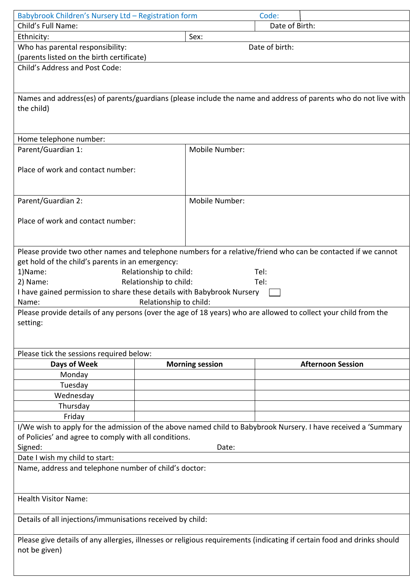| Babybrook Children's Nursery Ltd - Registration form                   |                        |                        |                                                                                                                         |  |
|------------------------------------------------------------------------|------------------------|------------------------|-------------------------------------------------------------------------------------------------------------------------|--|
|                                                                        |                        |                        | Code:                                                                                                                   |  |
| Child's Full Name:                                                     |                        |                        | Date of Birth:                                                                                                          |  |
| Ethnicity:                                                             |                        | Sex:                   |                                                                                                                         |  |
| Who has parental responsibility:                                       |                        |                        | Date of birth:                                                                                                          |  |
| (parents listed on the birth certificate)                              |                        |                        |                                                                                                                         |  |
| Child's Address and Post Code:                                         |                        |                        |                                                                                                                         |  |
|                                                                        |                        |                        |                                                                                                                         |  |
|                                                                        |                        |                        |                                                                                                                         |  |
|                                                                        |                        |                        | Names and address(es) of parents/guardians (please include the name and address of parents who do not live with         |  |
| the child)                                                             |                        |                        |                                                                                                                         |  |
|                                                                        |                        |                        |                                                                                                                         |  |
|                                                                        |                        |                        |                                                                                                                         |  |
| Home telephone number:                                                 |                        |                        |                                                                                                                         |  |
| Parent/Guardian 1:                                                     |                        | Mobile Number:         |                                                                                                                         |  |
|                                                                        |                        |                        |                                                                                                                         |  |
| Place of work and contact number:                                      |                        |                        |                                                                                                                         |  |
|                                                                        |                        |                        |                                                                                                                         |  |
|                                                                        |                        | Mobile Number:         |                                                                                                                         |  |
| Parent/Guardian 2:                                                     |                        |                        |                                                                                                                         |  |
| Place of work and contact number:                                      |                        |                        |                                                                                                                         |  |
|                                                                        |                        |                        |                                                                                                                         |  |
|                                                                        |                        |                        |                                                                                                                         |  |
|                                                                        |                        |                        | Please provide two other names and telephone numbers for a relative/friend who can be contacted if we cannot            |  |
| get hold of the child's parents in an emergency:                       |                        |                        |                                                                                                                         |  |
| 1)Name:                                                                | Relationship to child: |                        | Tel:                                                                                                                    |  |
| 2) Name:                                                               | Relationship to child: |                        | Tel:                                                                                                                    |  |
| I have gained permission to share these details with Babybrook Nursery |                        |                        |                                                                                                                         |  |
| Name:                                                                  | Relationship to child: |                        |                                                                                                                         |  |
|                                                                        |                        |                        | Please provide details of any persons (over the age of 18 years) who are allowed to collect your child from the         |  |
| setting:                                                               |                        |                        |                                                                                                                         |  |
|                                                                        |                        |                        |                                                                                                                         |  |
|                                                                        |                        |                        |                                                                                                                         |  |
| Please tick the sessions required below:                               |                        |                        |                                                                                                                         |  |
| Days of Week                                                           |                        |                        |                                                                                                                         |  |
|                                                                        |                        | <b>Morning session</b> | <b>Afternoon Session</b>                                                                                                |  |
| Monday                                                                 |                        |                        |                                                                                                                         |  |
| Tuesday                                                                |                        |                        |                                                                                                                         |  |
| Wednesday                                                              |                        |                        |                                                                                                                         |  |
| Thursday                                                               |                        |                        |                                                                                                                         |  |
| Friday                                                                 |                        |                        |                                                                                                                         |  |
|                                                                        |                        |                        | I/We wish to apply for the admission of the above named child to Babybrook Nursery. I have received a 'Summary          |  |
| of Policies' and agree to comply with all conditions.                  |                        |                        |                                                                                                                         |  |
| Signed:                                                                |                        | Date:                  |                                                                                                                         |  |
| Date I wish my child to start:                                         |                        |                        |                                                                                                                         |  |
| Name, address and telephone number of child's doctor:                  |                        |                        |                                                                                                                         |  |
|                                                                        |                        |                        |                                                                                                                         |  |
|                                                                        |                        |                        |                                                                                                                         |  |
| <b>Health Visitor Name:</b>                                            |                        |                        |                                                                                                                         |  |
|                                                                        |                        |                        |                                                                                                                         |  |
| Details of all injections/immunisations received by child:             |                        |                        |                                                                                                                         |  |
|                                                                        |                        |                        |                                                                                                                         |  |
|                                                                        |                        |                        | Please give details of any allergies, illnesses or religious requirements (indicating if certain food and drinks should |  |
| not be given)                                                          |                        |                        |                                                                                                                         |  |